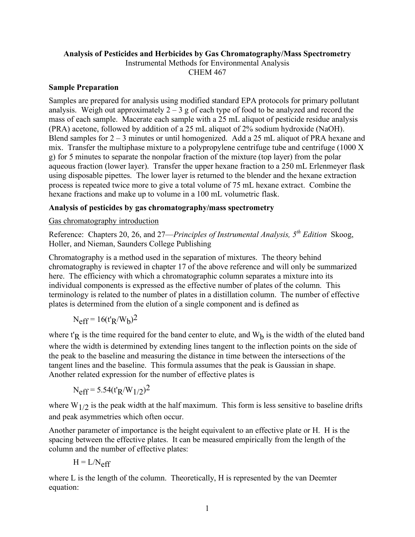# **Analysis of Pesticides and Herbicides by Gas Chromatography/Mass Spectrometry**

Instrumental Methods for Environmental Analysis

CHEM 467

#### **Sample Preparation**

Samples are prepared for analysis using modified standard EPA protocols for primary pollutant analysis. Weigh out approximately  $2 - 3$  g of each type of food to be analyzed and record the mass of each sample. Macerate each sample with a 25 mL aliquot of pesticide residue analysis (PRA) acetone, followed by addition of a 25 mL aliquot of 2% sodium hydroxide (NaOH). Blend samples for 2 – 3 minutes or until homogenized. Add a 25 mL aliquot of PRA hexane and mix. Transfer the multiphase mixture to a polypropylene centrifuge tube and centrifuge (1000 X g) for 5 minutes to separate the nonpolar fraction of the mixture (top layer) from the polar aqueous fraction (lower layer). Transfer the upper hexane fraction to a 250 mL Erlenmeyer flask using disposable pipettes. The lower layer is returned to the blender and the hexane extraction process is repeated twice more to give a total volume of 75 mL hexane extract. Combine the hexane fractions and make up to volume in a 100 mL volumetric flask.

# **Analysis of pesticides by gas chromatography/mass spectrometry**

### Gas chromatography introduction

Reference: Chapters 20, 26, and 27—*Principles of Instrumental Analysis, 5th Edition* Skoog, Holler, and Nieman, Saunders College Publishing

Chromatography is a method used in the separation of mixtures. The theory behind chromatography is reviewed in chapter 17 of the above reference and will only be summarized here. The efficiency with which a chromatographic column separates a mixture into its individual components is expressed as the effective number of plates of the column. This terminology is related to the number of plates in a distillation column. The number of effective plates is determined from the elution of a single component and is defined as

$$
N_{eff} = 16(t_R/W_b)^2
$$

where  $t'R$  is the time required for the band center to elute, and  $W<sub>b</sub>$  is the width of the eluted band where the width is determined by extending lines tangent to the inflection points on the side of the peak to the baseline and measuring the distance in time between the intersections of the tangent lines and the baseline. This formula assumes that the peak is Gaussian in shape. Another related expression for the number of effective plates is

$$
N_{eff} = 5.54(t'_{R}/W_{1/2})^{2}
$$

where  $W_{1/2}$  is the peak width at the half maximum. This form is less sensitive to baseline drifts and peak asymmetries which often occur.

Another parameter of importance is the height equivalent to an effective plate or H. H is the spacing between the effective plates. It can be measured empirically from the length of the column and the number of effective plates:

$$
H = L/N_{eff}
$$

where L is the length of the column. Theoretically, H is represented by the van Deemter equation: